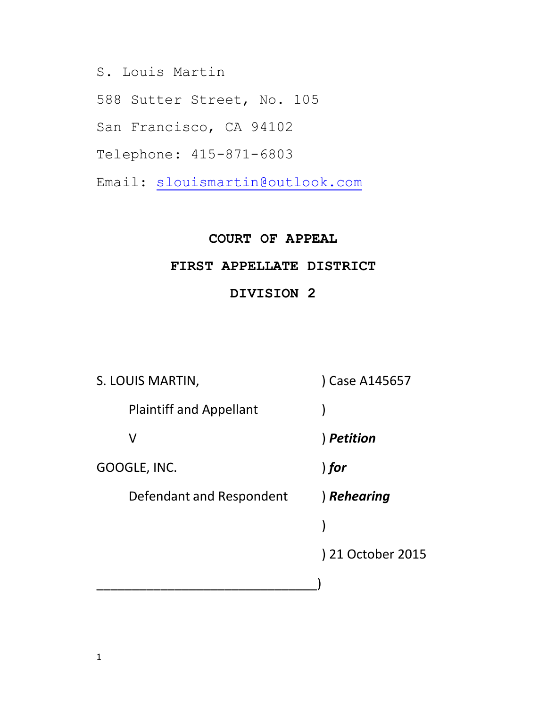S. Louis Martin

588 Sutter Street, No. 105

San Francisco, CA 94102

Telephone: 415-871-6803

Email: [slouismartin@outlook.com](mailto:slouismartin@outlook.com)

#### **COURT OF APPEAL**

#### **FIRST APPELLATE DISTRICT**

#### **DIVISION 2**

| S. LOUIS MARTIN,               | Case A145657      |
|--------------------------------|-------------------|
| <b>Plaintiff and Appellant</b> |                   |
| V                              | ) Petition        |
| GOOGLE, INC.                   | ) for             |
| Defendant and Respondent       | ) Rehearing       |
|                                |                   |
|                                | ) 21 October 2015 |
|                                |                   |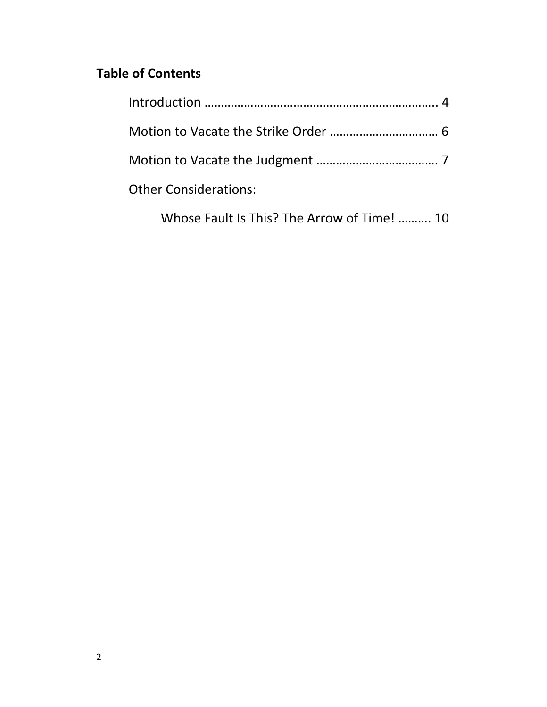# **Table of Contents**

| <b>Other Considerations:</b> |  |
|------------------------------|--|
|                              |  |

Whose Fault Is This? The Arrow of Time! ………. 10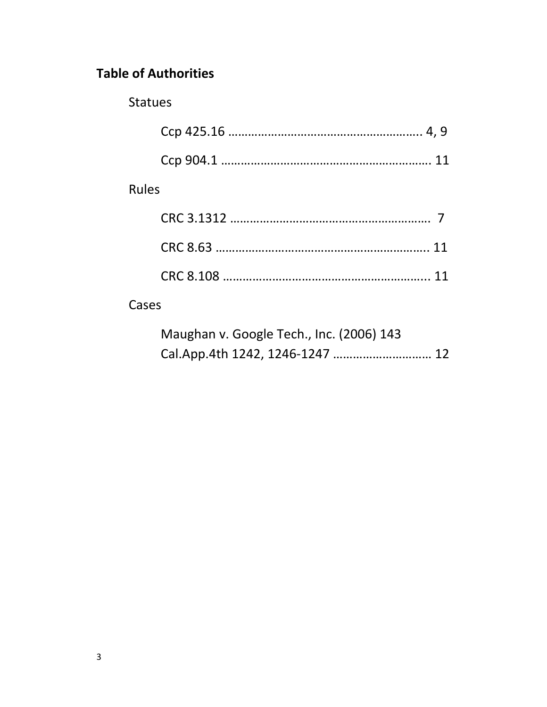# **Table of Authorities**

### Statues

|              | 11 |
|--------------|----|
| <b>Rules</b> |    |
|              |    |
|              |    |
|              |    |
|              |    |

## Cases

| Maughan v. Google Tech., Inc. (2006) 143 |  |
|------------------------------------------|--|
|                                          |  |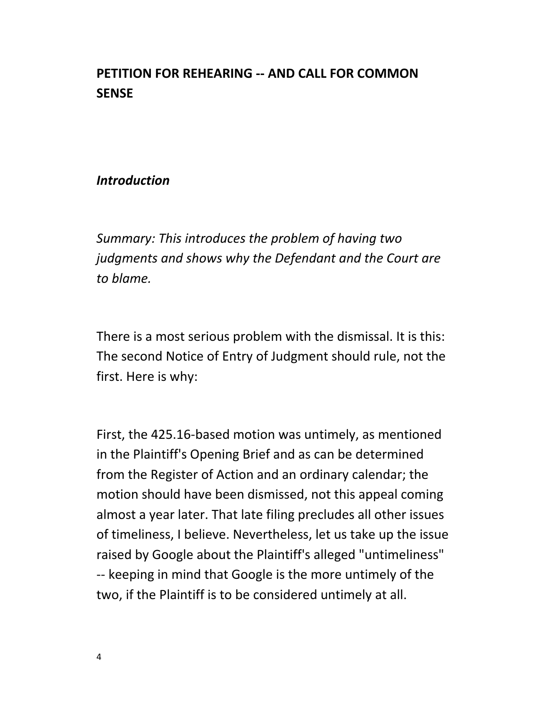## **PETITION FOR REHEARING -- AND CALL FOR COMMON SENSE**

#### *Introduction*

*Summary: This introduces the problem of having two judgments and shows why the Defendant and the Court are to blame.*

There is a most serious problem with the dismissal. It is this: The second Notice of Entry of Judgment should rule, not the first. Here is why:

First, the 425.16-based motion was untimely, as mentioned in the Plaintiff's Opening Brief and as can be determined from the Register of Action and an ordinary calendar; the motion should have been dismissed, not this appeal coming almost a year later. That late filing precludes all other issues of timeliness, I believe. Nevertheless, let us take up the issue raised by Google about the Plaintiff's alleged "untimeliness" -- keeping in mind that Google is the more untimely of the two, if the Plaintiff is to be considered untimely at all.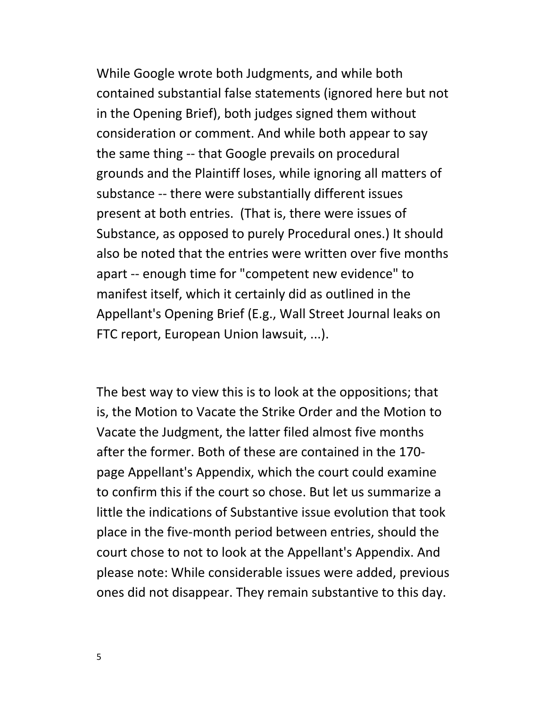While Google wrote both Judgments, and while both contained substantial false statements (ignored here but not in the Opening Brief), both judges signed them without consideration or comment. And while both appear to say the same thing -- that Google prevails on procedural grounds and the Plaintiff loses, while ignoring all matters of substance -- there were substantially different issues present at both entries. (That is, there were issues of Substance, as opposed to purely Procedural ones.) It should also be noted that the entries were written over five months apart -- enough time for "competent new evidence" to manifest itself, which it certainly did as outlined in the Appellant's Opening Brief (E.g., Wall Street Journal leaks on FTC report, European Union lawsuit, ...).

The best way to view this is to look at the oppositions; that is, the Motion to Vacate the Strike Order and the Motion to Vacate the Judgment, the latter filed almost five months after the former. Both of these are contained in the 170 page Appellant's Appendix, which the court could examine to confirm this if the court so chose. But let us summarize a little the indications of Substantive issue evolution that took place in the five-month period between entries, should the court chose to not to look at the Appellant's Appendix. And please note: While considerable issues were added, previous ones did not disappear. They remain substantive to this day.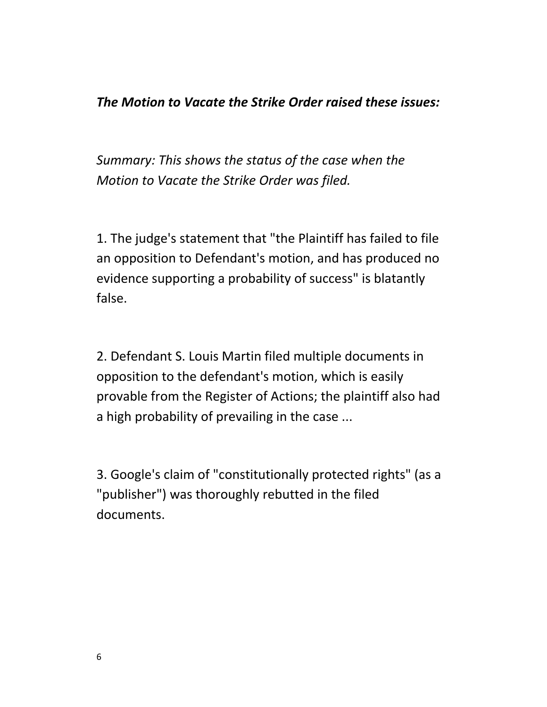### *The Motion to Vacate the Strike Order raised these issues:*

*Summary: This shows the status of the case when the Motion to Vacate the Strike Order was filed.*

1. The judge's statement that "the Plaintiff has failed to file an opposition to Defendant's motion, and has produced no evidence supporting a probability of success" is blatantly false.

2. Defendant S. Louis Martin filed multiple documents in opposition to the defendant's motion, which is easily provable from the Register of Actions; the plaintiff also had a high probability of prevailing in the case ...

3. Google's claim of "constitutionally protected rights" (as a "publisher") was thoroughly rebutted in the filed documents.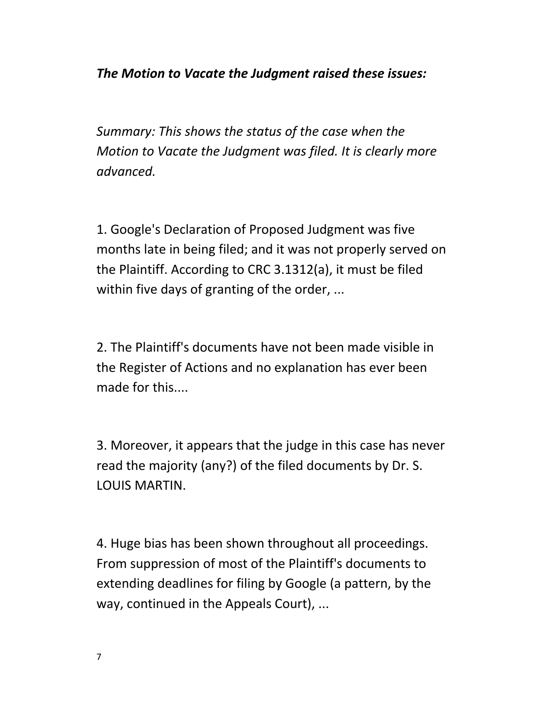*The Motion to Vacate the Judgment raised these issues:*

*Summary: This shows the status of the case when the Motion to Vacate the Judgment was filed. It is clearly more advanced.*

1. Google's Declaration of Proposed Judgment was five months late in being filed; and it was not properly served on the Plaintiff. According to CRC 3.1312(a), it must be filed within five days of granting of the order, ...

2. The Plaintiff's documents have not been made visible in the Register of Actions and no explanation has ever been made for this....

3. Moreover, it appears that the judge in this case has never read the majority (any?) of the filed documents by Dr. S. LOUIS MARTIN.

4. Huge bias has been shown throughout all proceedings. From suppression of most of the Plaintiff's documents to extending deadlines for filing by Google (a pattern, by the way, continued in the Appeals Court), ...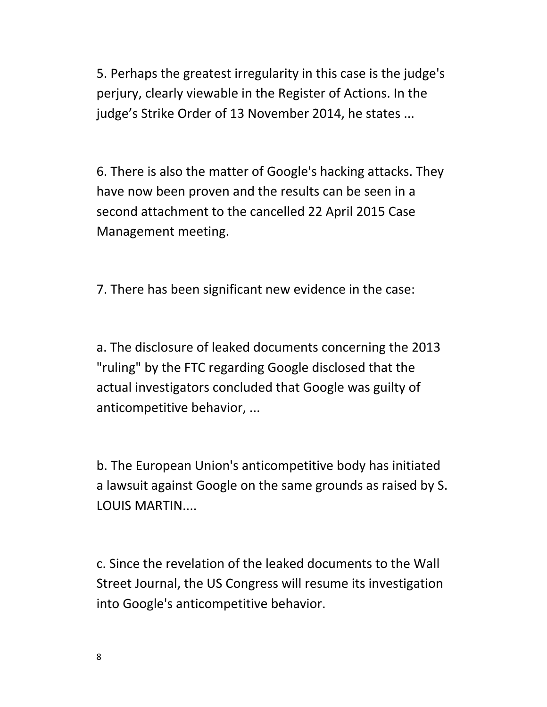5. Perhaps the greatest irregularity in this case is the judge's perjury, clearly viewable in the Register of Actions. In the judge's Strike Order of 13 November 2014, he states ...

6. There is also the matter of Google's hacking attacks. They have now been proven and the results can be seen in a second attachment to the cancelled 22 April 2015 Case Management meeting.

7. There has been significant new evidence in the case:

a. The disclosure of leaked documents concerning the 2013 "ruling" by the FTC regarding Google disclosed that the actual investigators concluded that Google was guilty of anticompetitive behavior, ...

b. The European Union's anticompetitive body has initiated a lawsuit against Google on the same grounds as raised by S. LOUIS MARTIN....

c. Since the revelation of the leaked documents to the Wall Street Journal, the US Congress will resume its investigation into Google's anticompetitive behavior.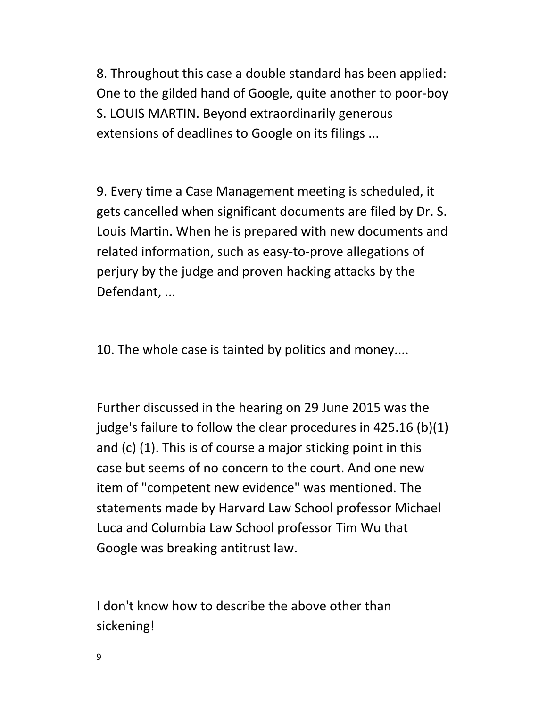8. Throughout this case a double standard has been applied: One to the gilded hand of Google, quite another to poor-boy S. LOUIS MARTIN. Beyond extraordinarily generous extensions of deadlines to Google on its filings ...

9. Every time a Case Management meeting is scheduled, it gets cancelled when significant documents are filed by Dr. S. Louis Martin. When he is prepared with new documents and related information, such as easy-to-prove allegations of perjury by the judge and proven hacking attacks by the Defendant, ...

10. The whole case is tainted by politics and money....

Further discussed in the hearing on 29 June 2015 was the judge's failure to follow the clear procedures in 425.16 (b)(1) and (c) (1). This is of course a major sticking point in this case but seems of no concern to the court. And one new item of "competent new evidence" was mentioned. The statements made by Harvard Law School professor Michael Luca and Columbia Law School professor Tim Wu that Google was breaking antitrust law.

I don't know how to describe the above other than sickening!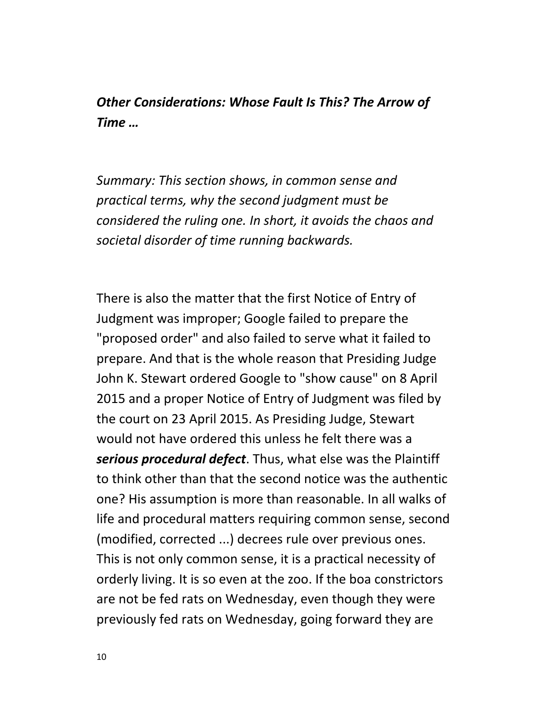*Other Considerations: Whose Fault Is This? The Arrow of Time …*

*Summary: This section shows, in common sense and practical terms, why the second judgment must be considered the ruling one. In short, it avoids the chaos and societal disorder of time running backwards.*

There is also the matter that the first Notice of Entry of Judgment was improper; Google failed to prepare the "proposed order" and also failed to serve what it failed to prepare. And that is the whole reason that Presiding Judge John K. Stewart ordered Google to "show cause" on 8 April 2015 and a proper Notice of Entry of Judgment was filed by the court on 23 April 2015. As Presiding Judge, Stewart would not have ordered this unless he felt there was a *serious procedural defect*. Thus, what else was the Plaintiff to think other than that the second notice was the authentic one? His assumption is more than reasonable. In all walks of life and procedural matters requiring common sense, second (modified, corrected ...) decrees rule over previous ones. This is not only common sense, it is a practical necessity of orderly living. It is so even at the zoo. If the boa constrictors are not be fed rats on Wednesday, even though they were previously fed rats on Wednesday, going forward they are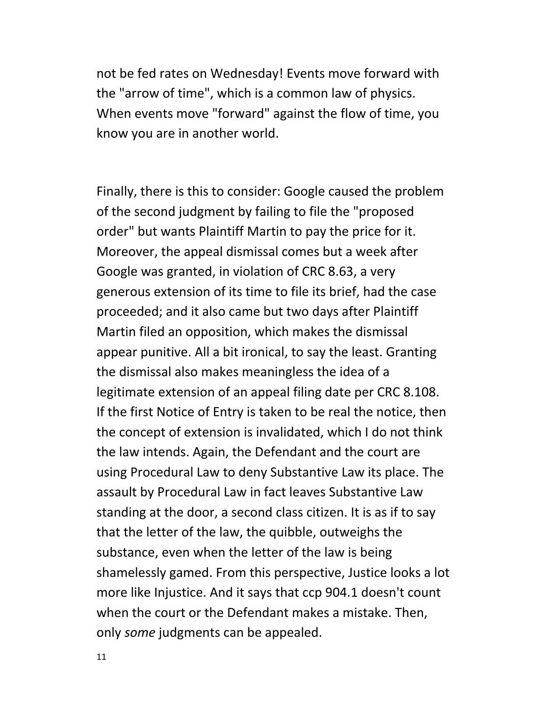not be fed rates on Wednesday! Events move forward with the "arrow of time", which is a common law of physics. When events move "forward" against the flow of time, you know you are in another world.

Finally, there is this to consider: Google caused the problem of the second judgment by failing to file the "proposed order" but wants Plaintiff Martin to pay the price for it. Moreover, the appeal dismissal comes but a week after Google was granted, in violation of CRC 8.63, a very generous extension of its time to file its brief, had the case proceeded; and it also came but two days after Plaintiff Martin filed an opposition, which makes the dismissal appear punitive. All a bit ironical, to say the least. Granting the dismissal also makes meaningless the idea of a legitimate extension of an appeal filing date per CRC 8.108. If the first Notice of Entry is taken to be real the notice, then the concept of extension is invalidated, which I do not think the law intends. Again, the Defendant and the court are using Procedural Law to deny Substantive Law its place. The assault by Procedural Law in fact leaves Substantive Law standing at the door, a second class citizen. It is as if to say that the letter of the law, the quibble, outweighs the substance, even when the letter of the law is being shamelessly gamed. From this perspective, Justice looks a lot more like Injustice. And it says that ccp 904.1 doesn't count when the court or the Defendant makes a mistake. Then, only *some* judgments can be appealed.